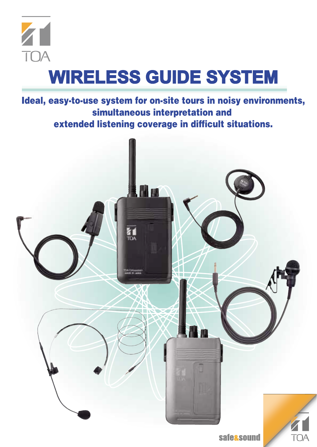

# **WIRELESS GUIDE SYSTEM**

**Ideal, easy-to-use system for on-site tours in noisy environments, simultaneous interpretation and extended listening coverage in difficult situations.**

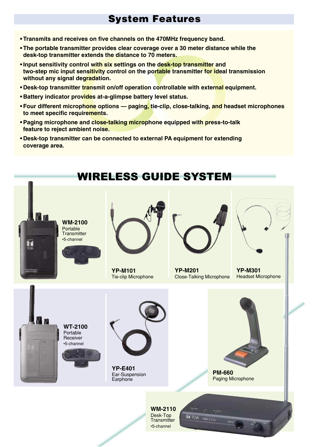# **System Features**

- **Transmits and receives on five channels on the 470MHz frequency band.**
- **The portable transmitter provides clear coverage over a 30 meter distance while the desk-top transmitter extends the distance to 70 meters.**
- **Input sensitivity control with six settings on the desk-top transmitter and two-step mic input sensitivity control on the portable transmitter for ideal transmission without any signal degradation.**
- **Desk-top transmitter transmit on/off operation controllable with external equipment.**
- **Battery indicator provides at-a-glimpse battery level status.**
- **Four different microphone options paging, tie-clip, close-talking, and headset microphones to meet specific requirements.**
- **Paging microphone and close-talking microphone equipped with press-to-talk feature to reject ambient noise.**
- **Desk-top transmitter can be connected to external PA equipment for extending coverage area.**

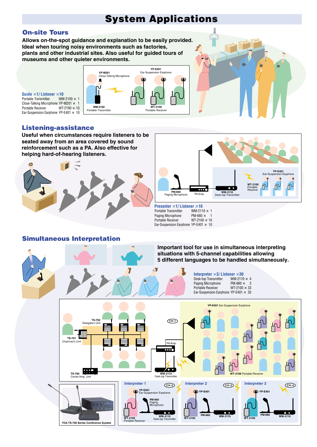# **System Applications**

# **On-site Tours**

**Allows on-the-spot guidance and explanation to be easily provided. Ideal when touring noisy environments such as factories, plants and other industrial sites. Also useful for guided tours of museums and other quieter environments.** 



**Guide**  $\times$  **1/ Listener**  $\times$  **10**<br>Portable Transmitter  $\qquad$  WM-2100  $\times$  **1** Portable Transmitter Close-Talking Microphone YP-M201  $\times$  1 Portable Receiver WT-2100 × 10 Ear-Suspension Earphone YP-E401  $\times$  10

## **Listening-assistance**

**Useful when circumstances require listeners to be seated away from an area covered by sound reinforcement such as a PA. Also effective for helping hard-of-hearing listeners.**





**Presenter**  $\times$  **1/ Listener**  $\times$  **10**<br>Portable Transmitter  $\qquad$  WM-2110  $\times$  **1** Portable Transmitter WM-2110  $\times$ <br>Paging Microphone PM-660  $\times$ Paging Microphone PM-660  $\times$  1<br>Portable Receiver WT-2100  $\times$  10 Portable Receiver Ear-Suspension Earphone YP-E401  $\times$  10

## **Simultaneous Interpretation**